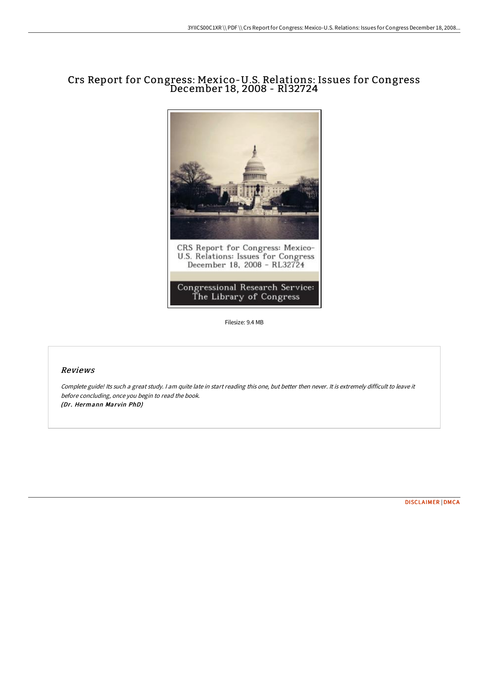## Crs Report for Congress: Mexico-U.S. Relations: Issues for Congress December 18, 2008 - Rl32724



Filesize: 9.4 MB

## Reviews

Complete guide! Its such <sup>a</sup> great study. <sup>I</sup> am quite late in start reading this one, but better then never. It is extremely difficult to leave it before concluding, once you begin to read the book. (Dr. Hermann Marvin PhD)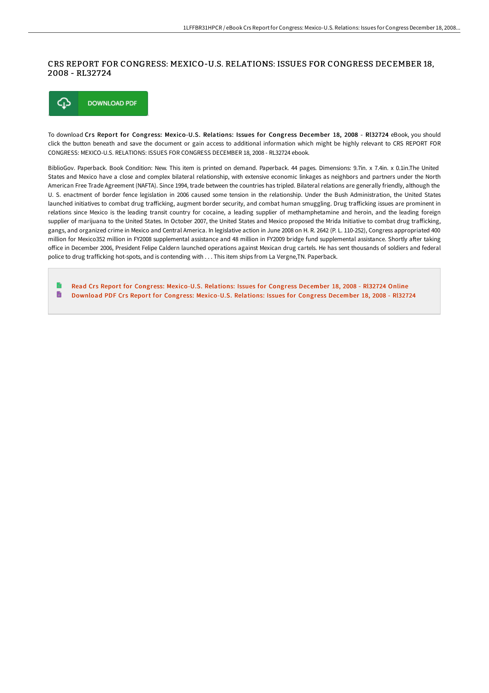## CRS REPORT FOR CONGRESS: MEXICO-U.S. RELATIONS: ISSUES FOR CONGRESS DECEMBER 18, 2008 - RL32724



To download Crs Report for Congress: Mexico-U.S. Relations: Issues for Congress December 18, 2008 - Rl32724 eBook, you should click the button beneath and save the document or gain access to additional information which might be highly relevant to CRS REPORT FOR CONGRESS: MEXICO-U.S. RELATIONS: ISSUES FOR CONGRESS DECEMBER 18, 2008 - RL32724 ebook.

BiblioGov. Paperback. Book Condition: New. This item is printed on demand. Paperback. 44 pages. Dimensions: 9.7in. x 7.4in. x 0.1in.The United States and Mexico have a close and complex bilateral relationship, with extensive economic linkages as neighbors and partners under the North American Free Trade Agreement (NAFTA). Since 1994, trade between the countries has tripled. Bilateral relations are generally friendly, although the U. S. enactment of border fence legislation in 2006 caused some tension in the relationship. Under the Bush Administration, the United States launched initiatives to combat drug trafficking, augment border security, and combat human smuggling. Drug trafficking issues are prominent in relations since Mexico is the leading transit country for cocaine, a leading supplier of methamphetamine and heroin, and the leading foreign supplier of marijuana to the United States. In October 2007, the United States and Mexico proposed the Mrida Initiative to combat drug trafficking, gangs, and organized crime in Mexico and Central America. In legislative action in June 2008 on H. R. 2642 (P. L. 110-252), Congress appropriated 400 million for Mexico352 million in FY2008 supplemental assistance and 48 million in FY2009 bridge fund supplemental assistance. Shortly aFer taking office in December 2006, President Felipe Caldern launched operations against Mexican drug cartels. He has sent thousands of soldiers and federal police to drug trafficking hot-spots, and is contending with . . . This item ships from La Vergne,TN. Paperback.

Read Crs Report for Congress: [Mexico-U.S.](http://techno-pub.tech/crs-report-for-congress-mexico-u-s-relations-iss-2.html) Relations: Issues for Congress December 18, 2008 - RI32724 Online  $\blacksquare$ Download PDF Crs Report for Congress: [Mexico-U.S.](http://techno-pub.tech/crs-report-for-congress-mexico-u-s-relations-iss-2.html) Relations: Issues for Congress December 18, 2008 - Rl32724